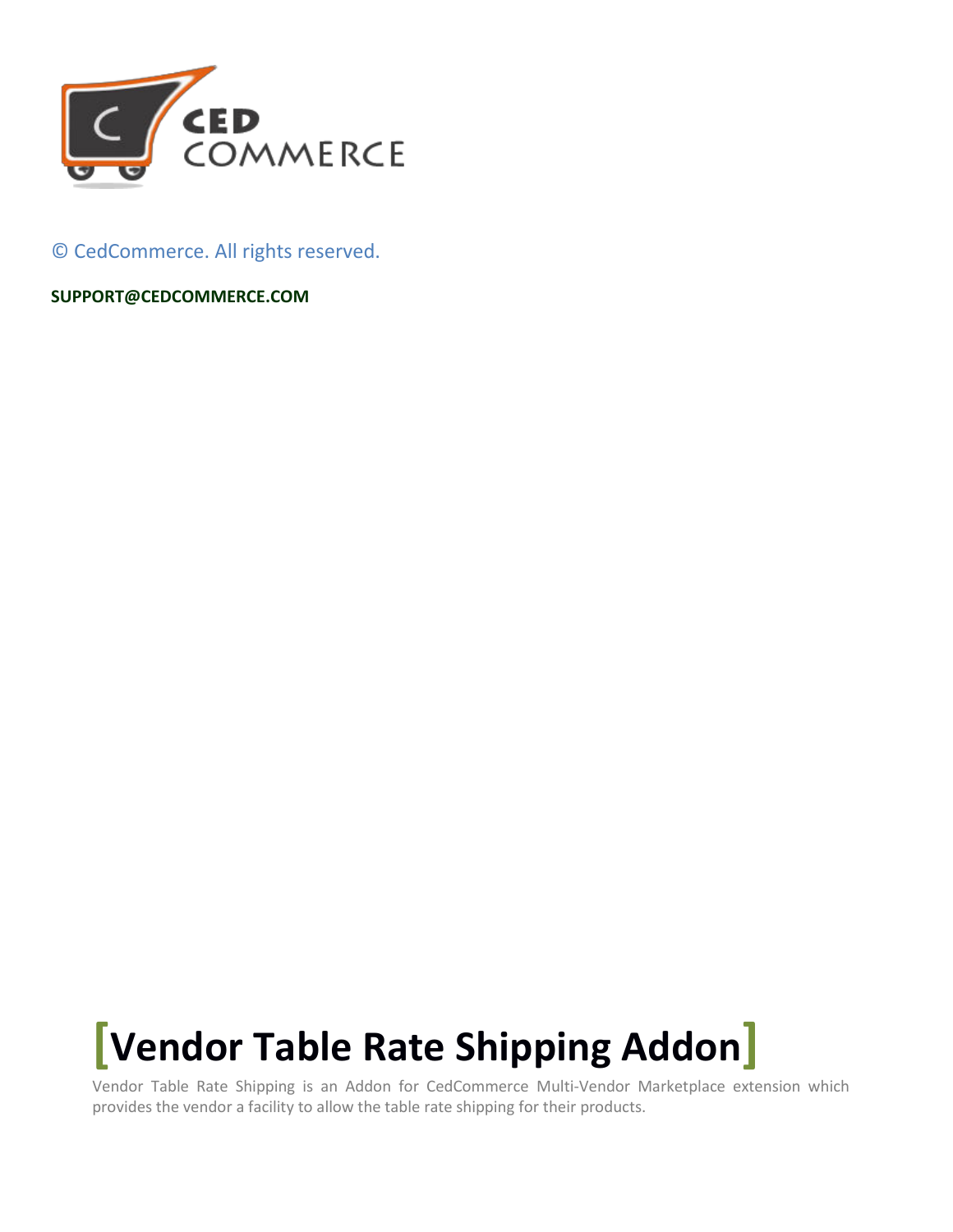

© CedCommerce. All rights reserved.

**[SUPPORT@CEDCOMMERCE.COM](mailto:SUPPORT@CEDCOMMERCE.COM)**

# **[Vendor Table Rate Shipping Addon]**

Vendor Table Rate Shipping is an Addon for CedCommerce Multi-Vendor Marketplace extension which provides the vendor a facility to allow the table rate shipping for their products.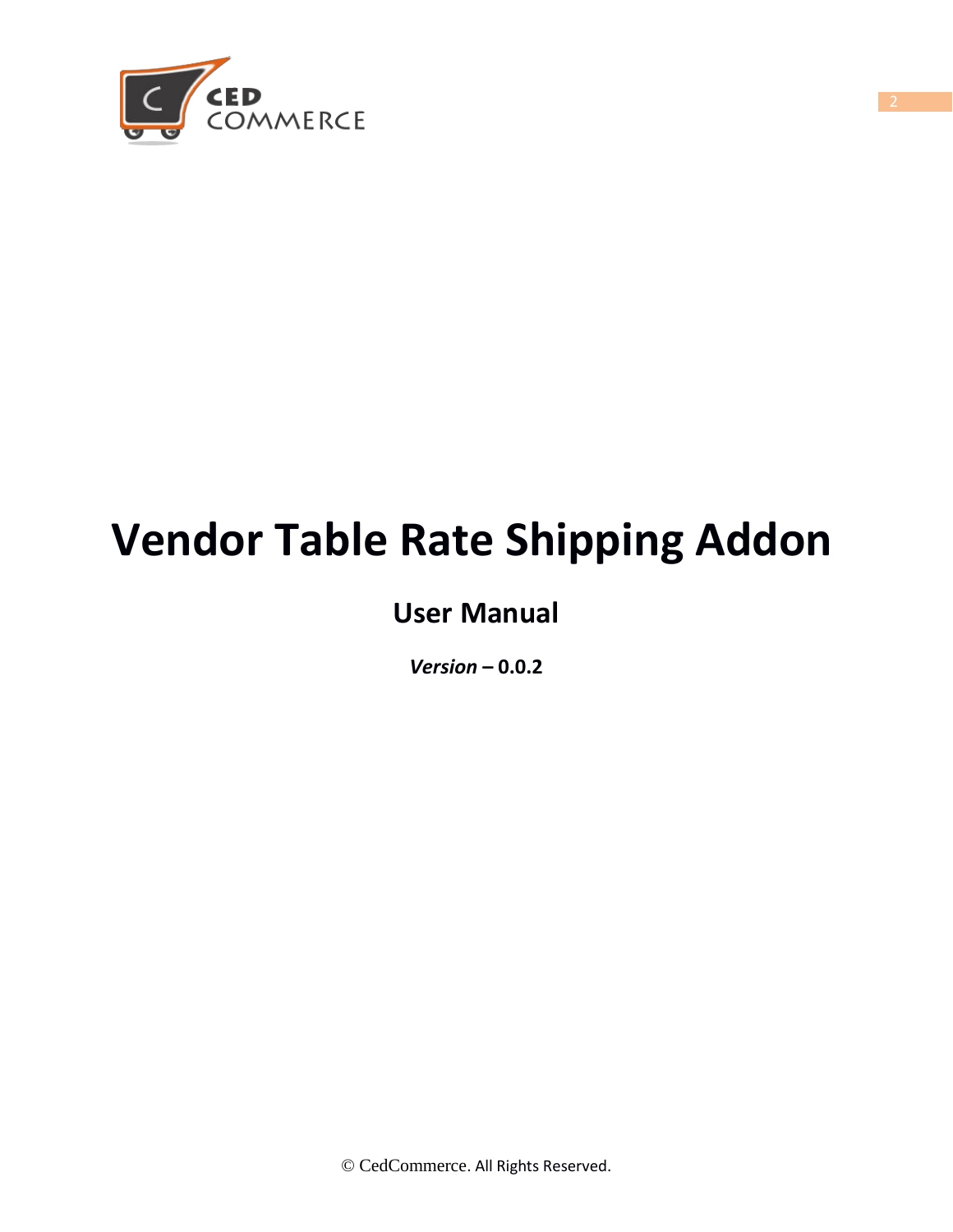

# **Vendor Table Rate Shipping Addon**

# **User Manual**

*Version* **– 0.0.2**

© CedCommerce. All Rights Reserved.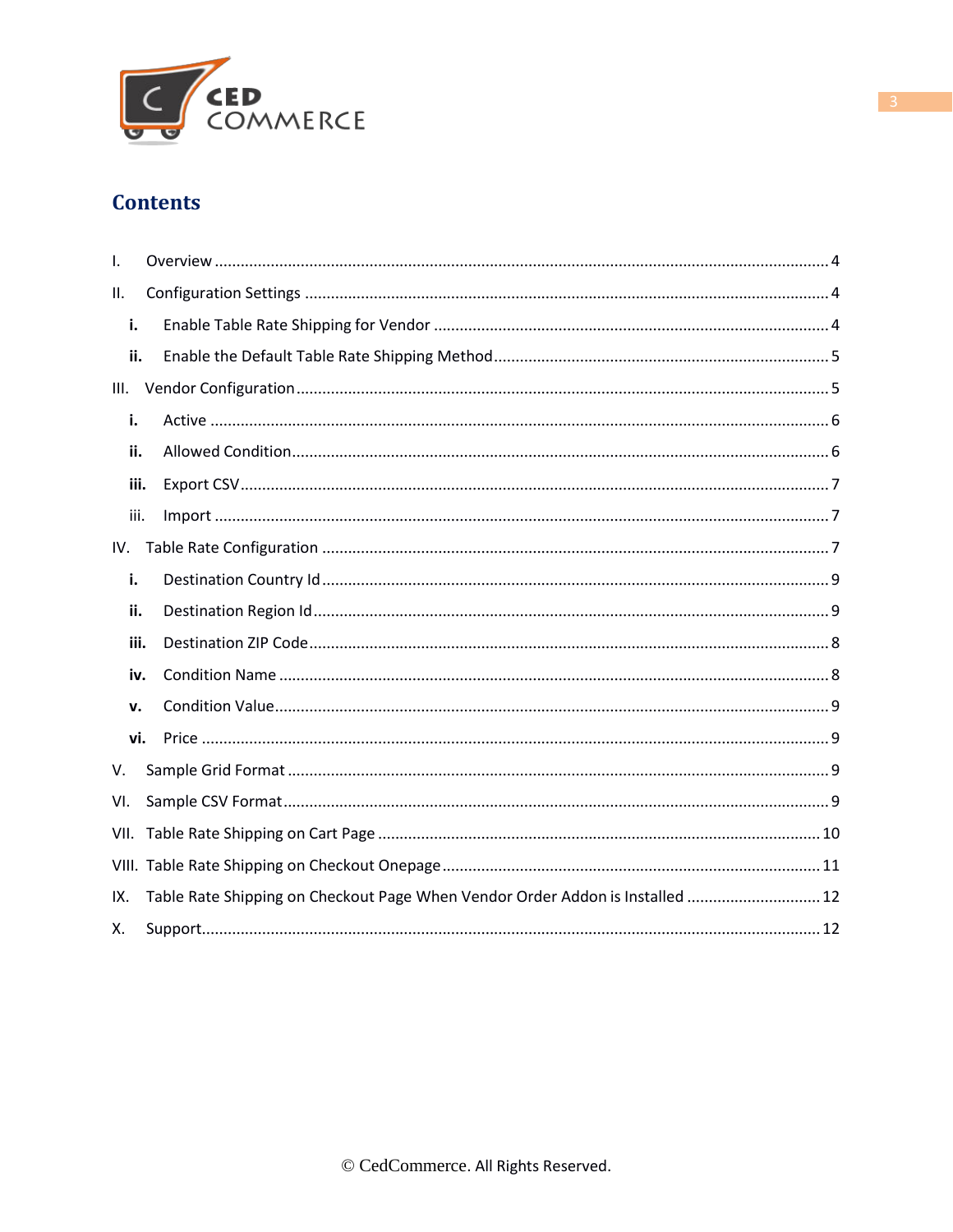

### **Contents**

| $\mathbf{L}$ |                                                                               |
|--------------|-------------------------------------------------------------------------------|
| ΙΙ.          |                                                                               |
| i.           |                                                                               |
| ii.          |                                                                               |
| III.         |                                                                               |
| i.           |                                                                               |
| ii.          |                                                                               |
| iii.         |                                                                               |
| iii.         |                                                                               |
| IV.          |                                                                               |
| i.           |                                                                               |
| ii.          |                                                                               |
| iii.         |                                                                               |
| iv.          |                                                                               |
| v.           |                                                                               |
| vi.          |                                                                               |
| V.           |                                                                               |
| VI.          |                                                                               |
| VII.         |                                                                               |
|              |                                                                               |
| IX.          | Table Rate Shipping on Checkout Page When Vendor Order Addon is Installed  12 |
| Х.           |                                                                               |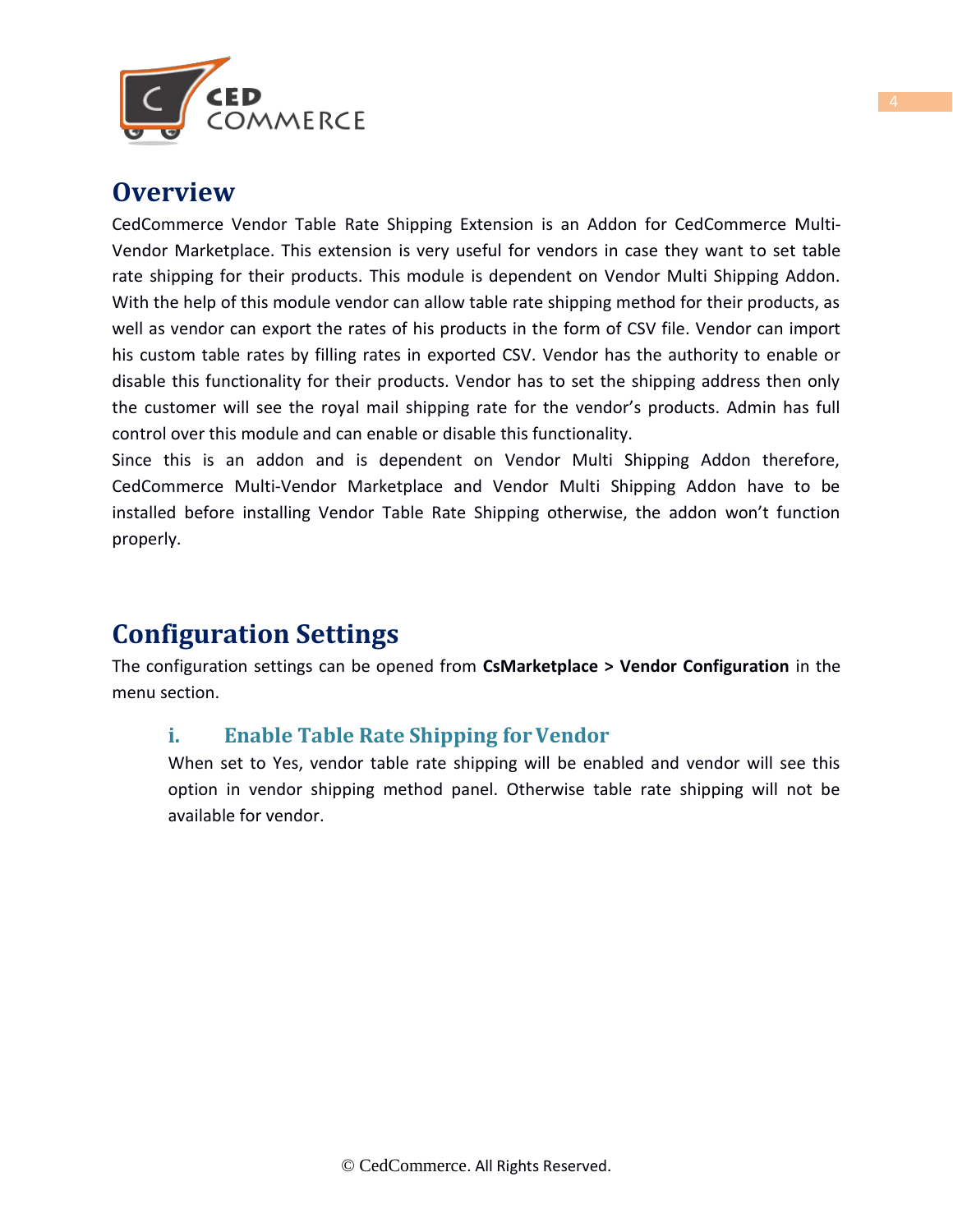

### <span id="page-3-0"></span>**Overview**

CedCommerce Vendor Table Rate Shipping Extension is an Addon for CedCommerce Multi-Vendor Marketplace. This extension is very useful for vendors in case they want to set table rate shipping for their products. This module is dependent on Vendor Multi Shipping Addon. With the help of this module vendor can allow table rate shipping method for their products, as well as vendor can export the rates of his products in the form of CSV file. Vendor can import his custom table rates by filling rates in exported CSV. Vendor has the authority to enable or disable this functionality for their products. Vendor has to set the shipping address then only the customer will see the royal mail shipping rate for the vendor's products. Admin has full control over this module and can enable or disable this functionality.

Since this is an addon and is dependent on Vendor Multi Shipping Addon therefore, CedCommerce Multi-Vendor Marketplace and Vendor Multi Shipping Addon have to be installed before installing Vendor Table Rate Shipping otherwise, the addon won't function properly.

# <span id="page-3-1"></span>**Configuration Settings**

The configuration settings can be opened from **CsMarketplace > Vendor Configuration** in the menu section.

#### **i.** Enable Table Rate Shipping for Vendor

When set to Yes, vendor table rate shipping will be enabled and vendor will see this option in vendor shipping method panel. Otherwise table rate shipping will not be available for vendor.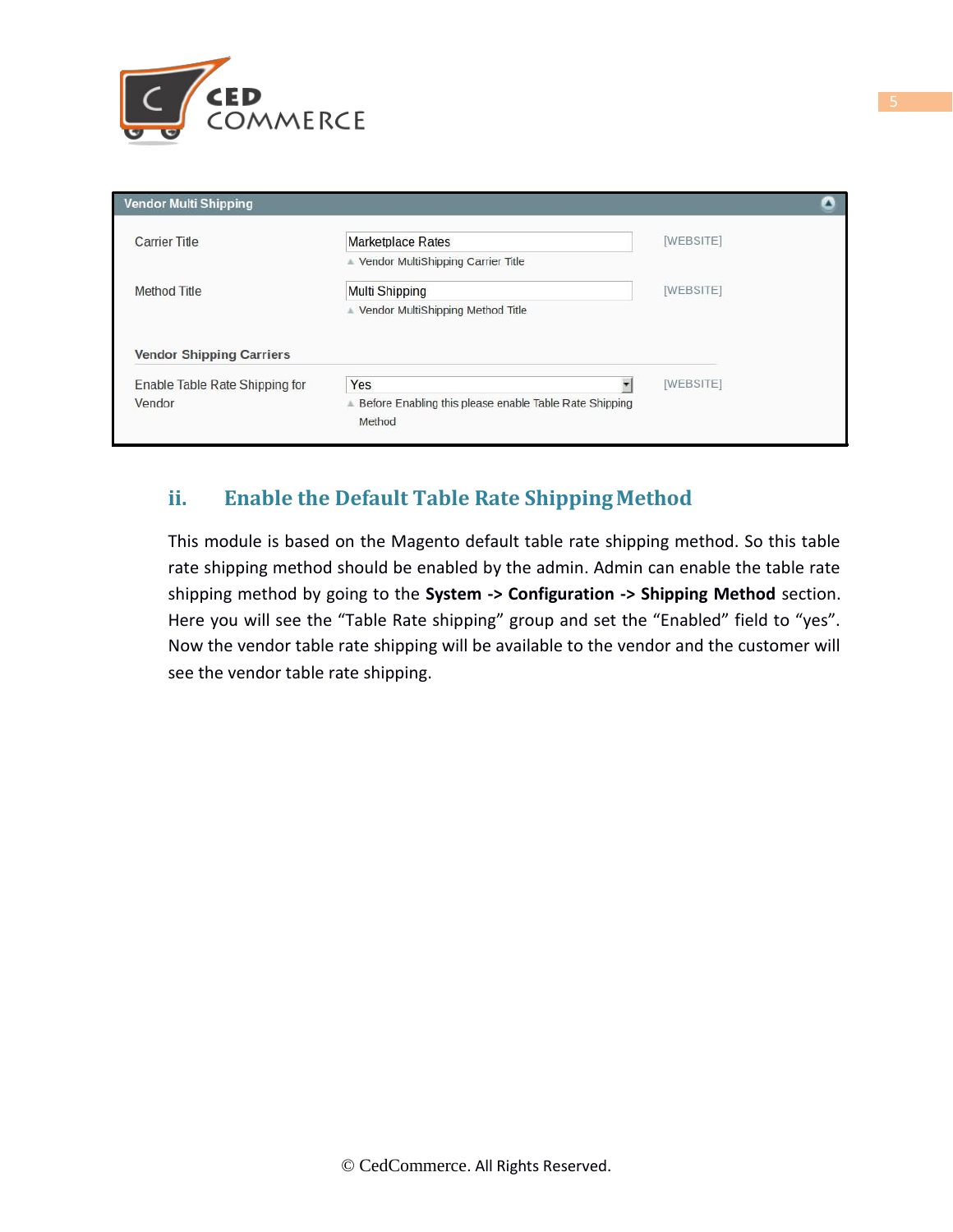

| <b>Vendor Multi Shipping</b>    |                                                                    |           | л |
|---------------------------------|--------------------------------------------------------------------|-----------|---|
| <b>Carrier Title</b>            | <b>Marketplace Rates</b>                                           | [WEBSITE] |   |
|                                 | ▲ Vendor MultiShipping Carrier Title                               |           |   |
| Method Title                    | Multi Shipping                                                     | [WEBSITE] |   |
|                                 | ▲ Vendor MultiShipping Method Title                                |           |   |
| <b>Vendor Shipping Carriers</b> |                                                                    |           |   |
| Enable Table Rate Shipping for  | Yes                                                                | [WEBSITE] |   |
| Vendor                          | A Before Enabling this please enable Table Rate Shipping<br>Method |           |   |

#### **ii. Enable the Default Table Rate Shipping Method**

This module is based on the Magento default table rate shipping method. So this table rate shipping method should be enabled by the admin. Admin can enable the table rate shipping method by going to the **System -> Configuration -> Shipping Method** section. Here you will see the "Table Rate shipping" group and set the "Enabled" field to "yes". Now the vendor table rate shipping will be available to the vendor and the customer will see the vendor table rate shipping.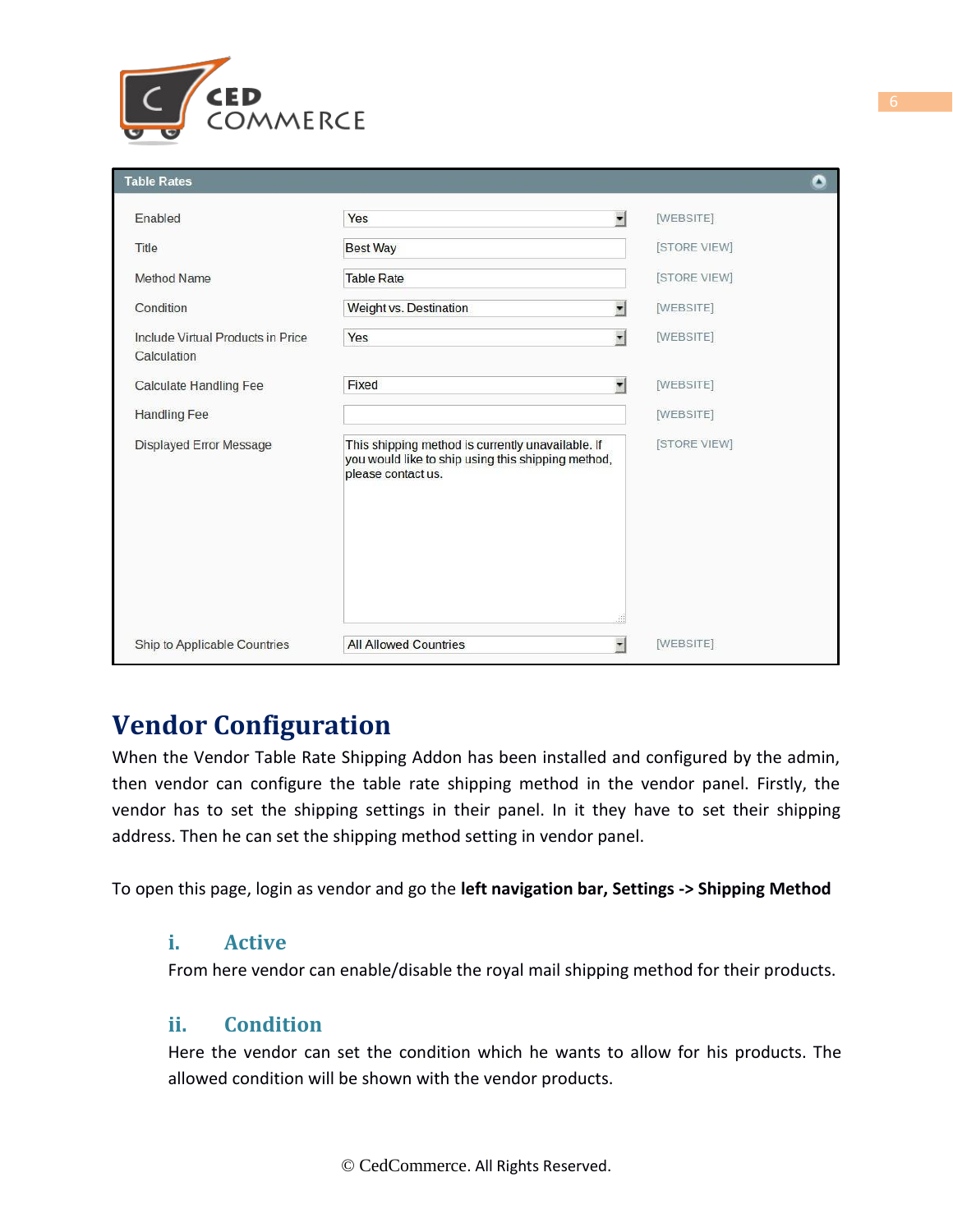

| <b>Table Rates</b>                               |                                                                                                                               | Δ            |
|--------------------------------------------------|-------------------------------------------------------------------------------------------------------------------------------|--------------|
| Enabled                                          | Yes<br>$\mathbf{r}$                                                                                                           | [WEBSITE]    |
| Title                                            | <b>Best Way</b>                                                                                                               | [STORE VIEW] |
| <b>Method Name</b>                               | <b>Table Rate</b>                                                                                                             | [STORE VIEW] |
| Condition                                        | Weight vs. Destination<br>$\cdot$                                                                                             | [WEBSITE]    |
| Include Virtual Products in Price<br>Calculation | $\mathbf{H}$<br>Yes                                                                                                           | [WEBSITE]    |
| <b>Calculate Handling Fee</b>                    | $\blacktriangledown$<br>Fixed                                                                                                 | [WEBSITE]    |
| <b>Handling Fee</b>                              |                                                                                                                               | [WEBSITE]    |
| Displayed Error Message                          | This shipping method is currently unavailable. If<br>you would like to ship using this shipping method,<br>please contact us. | [STORE VIEW] |
| Ship to Applicable Countries                     | $\pmb{\cdot}$<br><b>All Allowed Countries</b>                                                                                 | [WEBSITE]    |

# **Vendor Configuration**

When the Vendor Table Rate Shipping Addon has been installed and configured by the admin, then vendor can configure the table rate shipping method in the vendor panel. Firstly, the vendor has to set the shipping settings in their panel. In it they have to set their shipping address. Then he can set the shipping method setting in vendor panel.

To open this page, login as vendor and go the **left navigation bar, Settings -> Shipping Method**

#### **i. Active**

From here vendor can enable/disable the royal mail shipping method for their products.

#### **ii. Condition**

Here the vendor can set the condition which he wants to allow for his products. The allowed condition will be shown with the vendor products.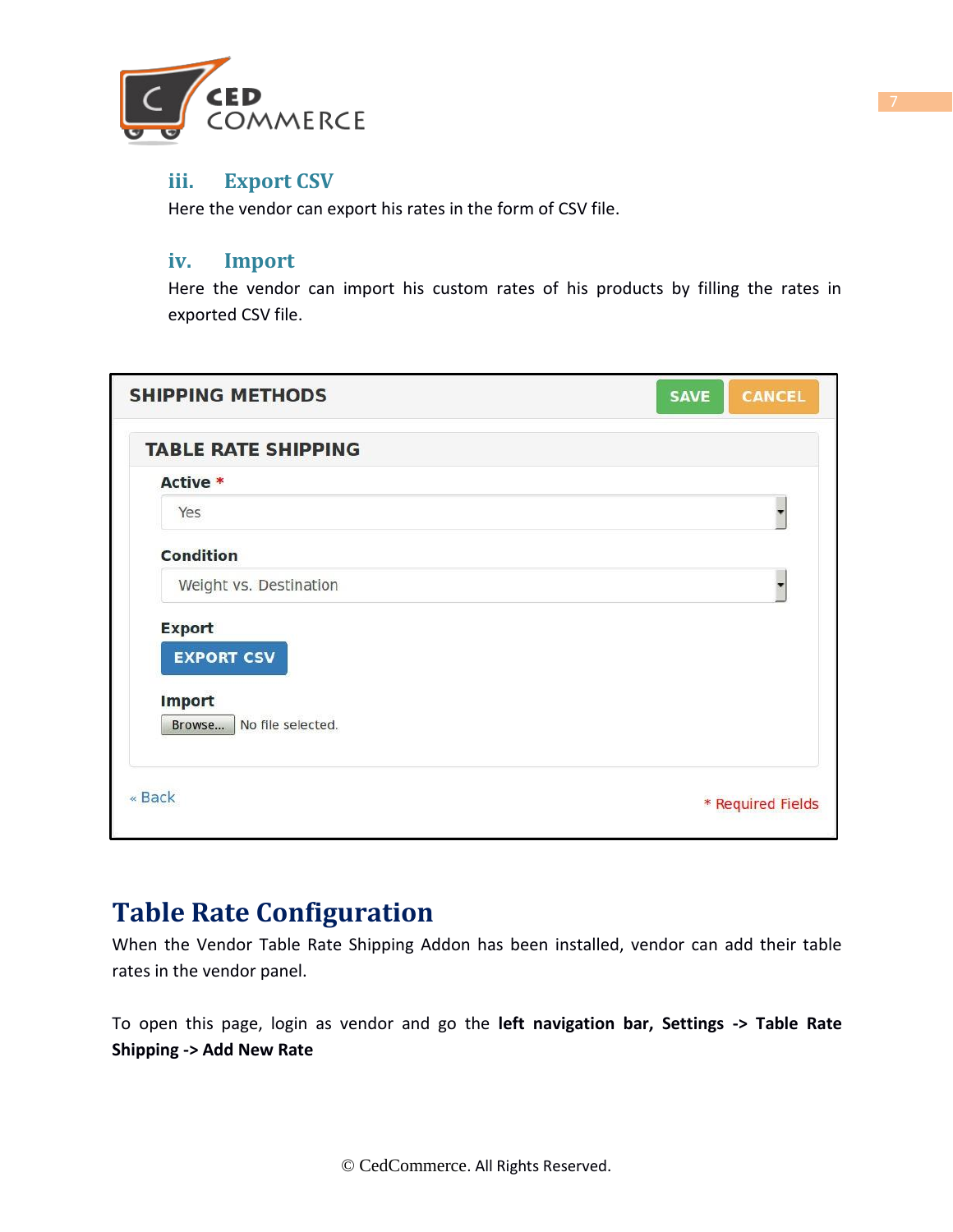

#### **iii. Export CSV**

Here the vendor can export his rates in the form of CSV file.

#### **iv. Import**

Here the vendor can import his custom rates of his products by filling the rates in exported CSV file.

| <b>SHIPPING METHODS</b>                                                            | <b>SAVE</b><br><b>CANCEL</b> |
|------------------------------------------------------------------------------------|------------------------------|
| <b>TABLE RATE SHIPPING</b>                                                         |                              |
| Active *                                                                           |                              |
| Yes                                                                                |                              |
| <b>Condition</b>                                                                   |                              |
| Weight vs. Destination                                                             |                              |
| <b>Export</b><br><b>EXPORT CSV</b><br><b>Import</b><br>No file selected.<br>Browse |                              |
| « Back                                                                             | * Required Fields            |

## **Table Rate Configuration**

When the Vendor Table Rate Shipping Addon has been installed, vendor can add their table rates in the vendor panel.

To open this page, login as vendor and go the **left navigation bar, Settings -> Table Rate Shipping -> Add New Rate**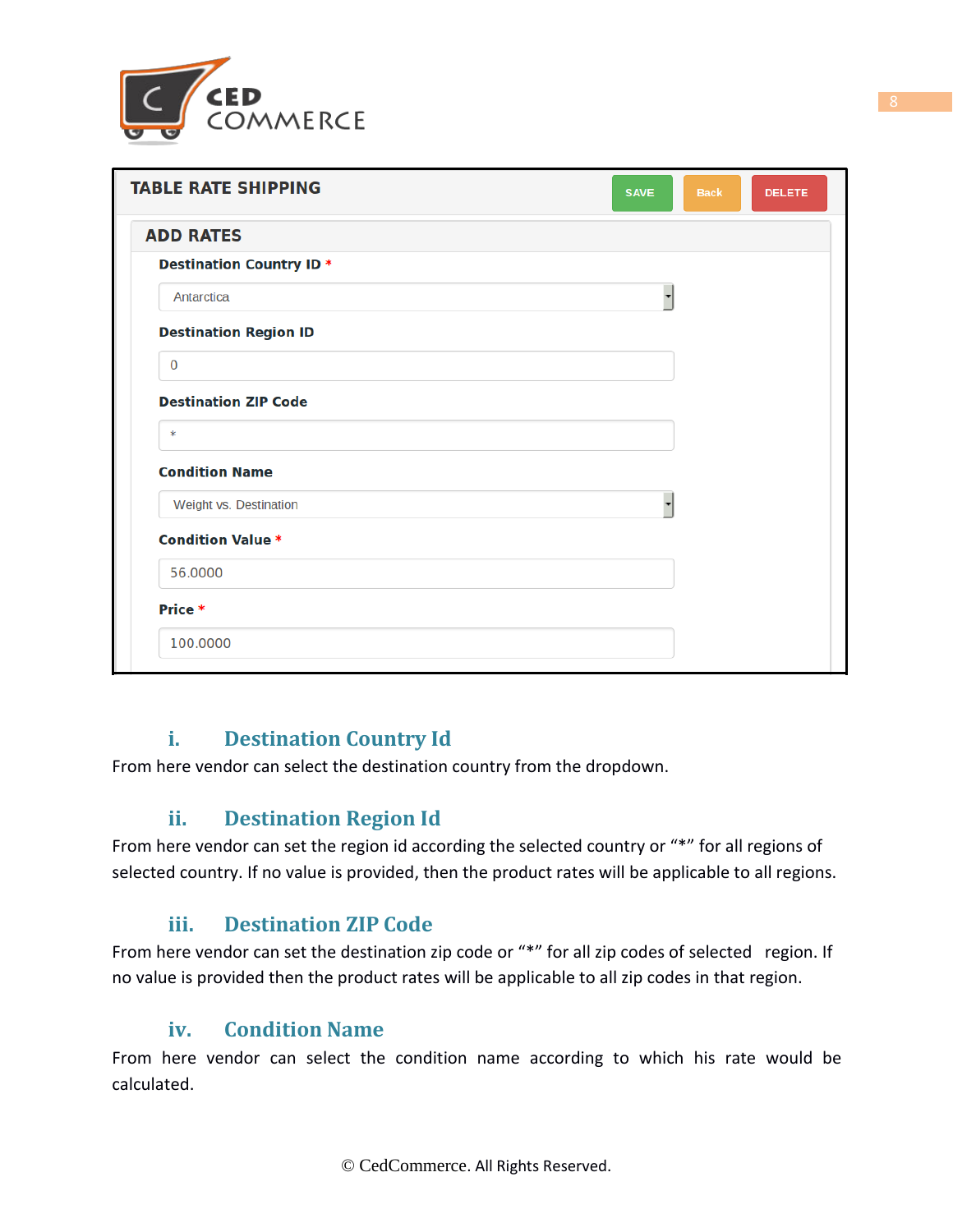

| <b>TABLE RATE SHIPPING</b>      | <b>SAVE</b> | <b>Back</b> | <b>DELETE</b> |
|---------------------------------|-------------|-------------|---------------|
| <b>ADD RATES</b>                |             |             |               |
| <b>Destination Country ID *</b> |             |             |               |
| Antarctica                      | ▼           |             |               |
| <b>Destination Region ID</b>    |             |             |               |
| $\mathbf 0$                     |             |             |               |
| <b>Destination ZIP Code</b>     |             |             |               |
| ∗                               |             |             |               |
| <b>Condition Name</b>           |             |             |               |
| Weight vs. Destination          |             |             |               |
| <b>Condition Value *</b>        |             |             |               |
| 56.0000                         |             |             |               |
| Price *                         |             |             |               |
| 100.0000                        |             |             |               |

#### **i. Destination Country Id**

From here vendor can select the destination country from the dropdown.

#### **ii. Destination Region Id**

From here vendor can set the region id according the selected country or "\*" for all regions of selected country. If no value is provided, then the product rates will be applicable to all regions.

#### **iii. Destination ZIP Code**

From here vendor can set the destination zip code or "\*" for all zip codes of selected region. If no value is provided then the product rates will be applicable to all zip codes in that region.

#### **iv. Condition Name**

From here vendor can select the condition name according to which his rate would be calculated.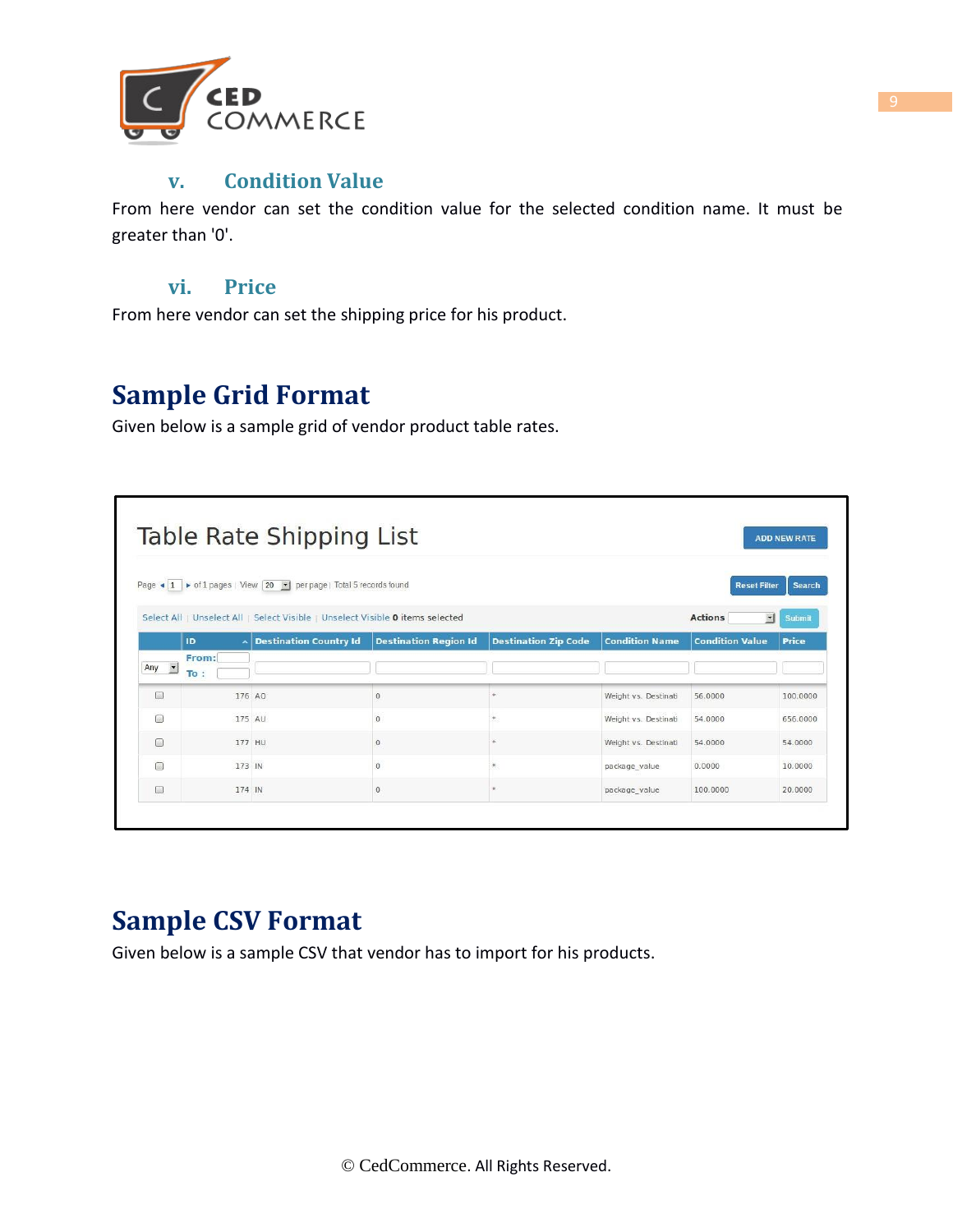

#### **v. Condition Value**

From here vendor can set the condition value for the selected condition name. It must be greater than '0'.

#### **vi. Price**

From here vendor can set the shipping price for his product.

## **Sample Grid Format**

Given below is a sample grid of vendor product table rates.

|                                       |                      | Table Rate Shipping List                                                                     |                              |                             |                       |                                          | <b>ADD NEW RATE</b> |
|---------------------------------------|----------------------|----------------------------------------------------------------------------------------------|------------------------------|-----------------------------|-----------------------|------------------------------------------|---------------------|
|                                       |                      | Page $\bullet$ 1 $\bullet$ of 1 pages   View 20 $\bullet$   per page   Total 5 records found |                              |                             |                       | <b>Reset Filter</b>                      | <b>Search</b>       |
|                                       |                      | Select All   Unselect All   Select Visible   Unselect Visible 0 items selected               |                              |                             |                       | <b>Actions</b><br>$\left  \cdot \right $ | <b>Submit</b>       |
|                                       | <b>ID</b>            | <b>Destination Country Id</b>                                                                | <b>Destination Region Id</b> | <b>Destination Zip Code</b> | <b>Condition Name</b> | <b>Condition Value</b>                   | <b>Price</b>        |
| Any $\rightarrow$                     | From:<br>To<br>$\pi$ |                                                                                              |                              |                             |                       |                                          |                     |
| $\begin{array}{c} \hline \end{array}$ | 176 AO               |                                                                                              | $\Omega$                     |                             | Weight vs. Destinati  | 56,0000                                  | 100,0000            |
| $\Box$                                | 175 AU               |                                                                                              | $\mathbf{0}$                 |                             | Weight vs. Destinati  | 54,0000                                  | 656.0000            |
| $\Box$                                | 177 HU               |                                                                                              | $\overline{0}$               |                             | Weight vs. Destinati  | 54.0000                                  | 54.0000             |
| 同                                     | 173 IN               |                                                                                              | $\Omega$                     | ×                           | package value         | 0.0000                                   | 10,0000             |
| $\Box$                                | 174 IN               |                                                                                              | $\mathbf 0$                  |                             | package value         | 100,0000                                 | 20.0000             |

## **Sample CSV Format**

Given below is a sample CSV that vendor has to import for his products.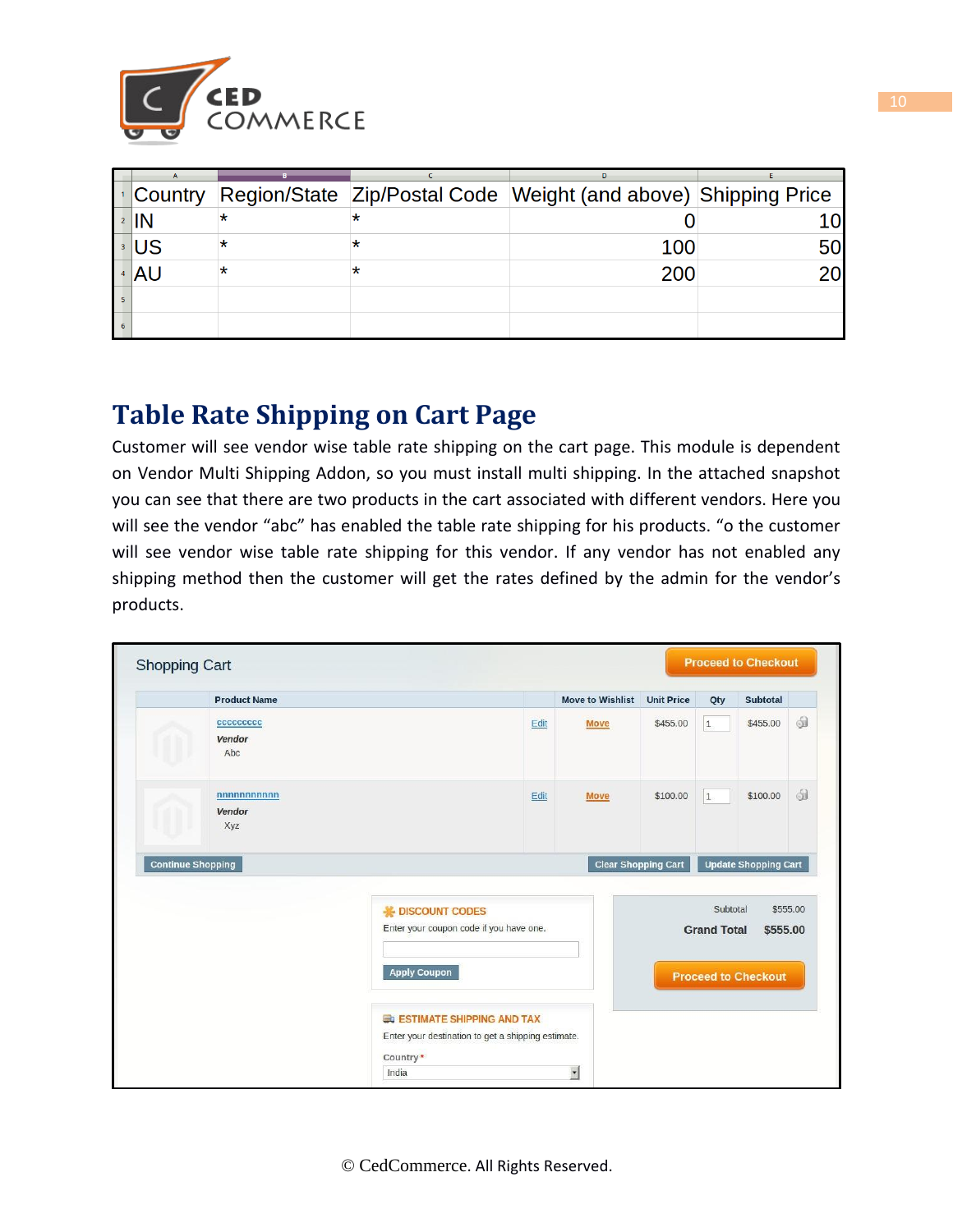

| <b>Country</b>    |   | Region/State Zip/Postal Code Weight (and above) Shipping Price |           |
|-------------------|---|----------------------------------------------------------------|-----------|
| $2$ $\mathsf{IN}$ |   |                                                                |           |
| ⊧∣US              | * | 100                                                            | <b>50</b> |
| 4 AU              | * | 200                                                            |           |
|                   |   |                                                                |           |
|                   |   |                                                                |           |

# **Table Rate Shipping on Cart Page**

Customer will see vendor wise table rate shipping on the cart page. This module is dependent on Vendor Multi Shipping Addon, so you must install multi shipping. In the attached snapshot you can see that there are two products in the cart associated with different vendors. Here you will see the vendor "abc" has enabled the table rate shipping for his products. "o the customer will see vendor wise table rate shipping for this vendor. If any vendor has not enabled any shipping method then the customer will get the rates defined by the admin for the vendor's products.

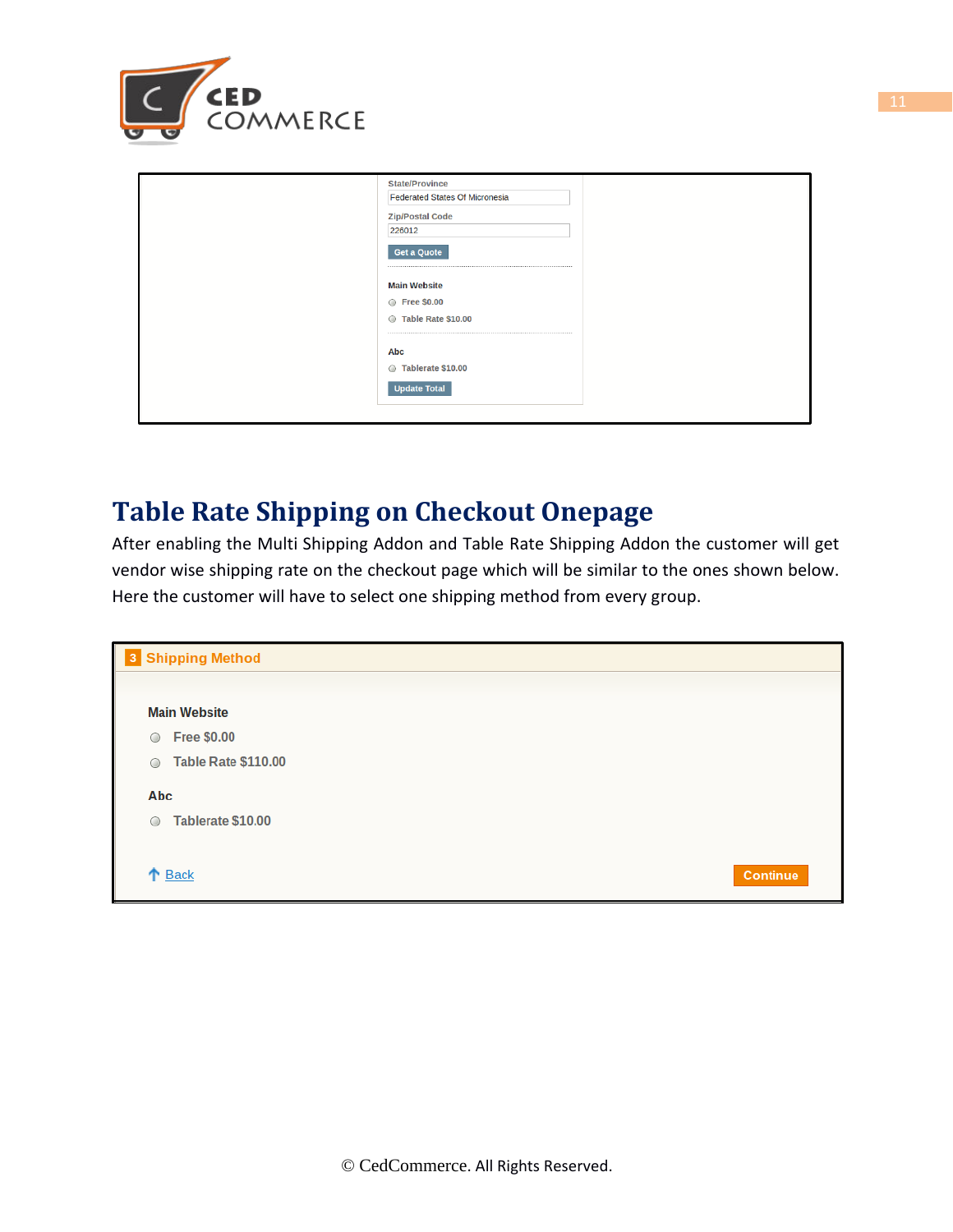

| <b>State/Province</b><br>Federated States Of Micronesia |
|---------------------------------------------------------|
| <b>Zip/Postal Code</b><br>226012                        |
| <b>Get a Quote</b>                                      |
| <b>Main Website</b>                                     |
| ◎ Free \$0.00                                           |
| Table Rate \$10.00<br>$\circ$                           |
| Abc                                                     |
| Tablerate \$10.00                                       |
| <b>Update Total</b>                                     |
|                                                         |

## **Table Rate Shipping on Checkout Onepage**

After enabling the Multi Shipping Addon and Table Rate Shipping Addon the customer will get vendor wise shipping rate on the checkout page which will be similar to the ones shown below. Here the customer will have to select one shipping method from every group.

| <b>3</b> Shipping Method              |                 |
|---------------------------------------|-----------------|
|                                       |                 |
| <b>Main Website</b>                   |                 |
| <b>Free \$0.00</b><br>$\circ$         |                 |
| <b>Table Rate \$110.00</b><br>$\circ$ |                 |
| Abc                                   |                 |
| Tablerate \$10.00<br>$\circ$          |                 |
|                                       |                 |
| ↑ Back                                | <b>Continue</b> |
|                                       |                 |